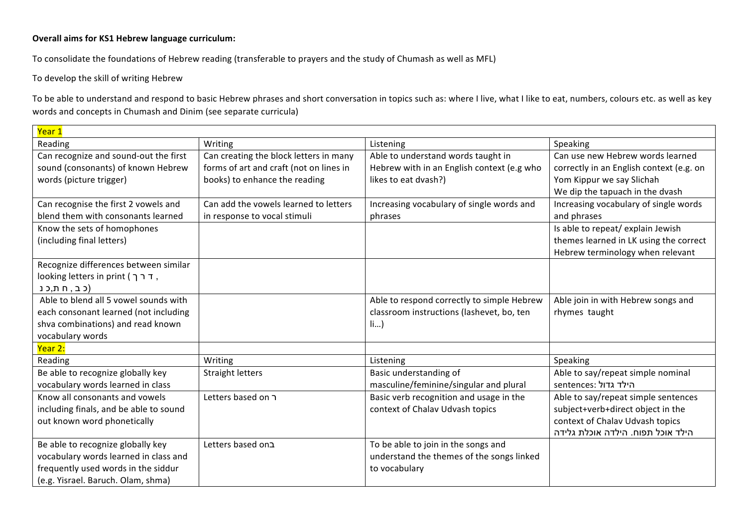## **Overall aims for KS1 Hebrew language curriculum:**

To consolidate the foundations of Hebrew reading (transferable to prayers and the study of Chumash as well as MFL)

To develop the skill of writing Hebrew

To be able to understand and respond to basic Hebrew phrases and short conversation in topics such as: where I live, what I like to eat, numbers, colours etc. as well as key words and concepts in Chumash and Dinim (see separate curricula)

| Year 1                                 |                                                                                       |                                            |                                          |
|----------------------------------------|---------------------------------------------------------------------------------------|--------------------------------------------|------------------------------------------|
| Reading                                | Writing                                                                               | Listening                                  | Speaking                                 |
| Can recognize and sound-out the first  | Can creating the block letters in many                                                | Able to understand words taught in         | Can use new Hebrew words learned         |
| sound (consonants) of known Hebrew     | forms of art and craft (not on lines in<br>Hebrew with in an English context (e.g who |                                            | correctly in an English context (e.g. on |
| words (picture trigger)                | books) to enhance the reading                                                         | likes to eat dvash?)                       | Yom Kippur we say Slichah                |
|                                        |                                                                                       |                                            | We dip the tapuach in the dvash          |
| Can recognise the first 2 vowels and   | Can add the vowels learned to letters                                                 | Increasing vocabulary of single words and  | Increasing vocabulary of single words    |
| blend them with consonants learned     | in response to vocal stimuli                                                          | phrases                                    | and phrases                              |
| Know the sets of homophones            |                                                                                       |                                            | Is able to repeat/ explain Jewish        |
| (including final letters)              |                                                                                       |                                            | themes learned in LK using the correct   |
|                                        |                                                                                       |                                            | Hebrew terminology when relevant         |
| Recognize differences between similar  |                                                                                       |                                            |                                          |
| looking letters in print ( דרך,        |                                                                                       |                                            |                                          |
| (כב, חת,כנ                             |                                                                                       |                                            |                                          |
| Able to blend all 5 yowel sounds with  |                                                                                       | Able to respond correctly to simple Hebrew | Able join in with Hebrew songs and       |
| each consonant learned (not including  |                                                                                       | classroom instructions (lashevet, bo, ten  | rhymes taught                            |
| shva combinations) and read known      |                                                                                       | $\{$ i $\}$                                |                                          |
| vocabulary words                       |                                                                                       |                                            |                                          |
| Year 2:                                |                                                                                       |                                            |                                          |
| Reading                                | Writing                                                                               | Listening                                  | Speaking                                 |
| Be able to recognize globally key      | <b>Straight letters</b>                                                               | Basic understanding of                     | Able to say/repeat simple nominal        |
| vocabulary words learned in class      |                                                                                       | masculine/feminine/singular and plural     | הילד גדול :sentences                     |
| Know all consonants and vowels         | Letters based on ר                                                                    | Basic verb recognition and usage in the    | Able to say/repeat simple sentences      |
| including finals, and be able to sound |                                                                                       | context of Chalav Udvash topics            | subject+verb+direct object in the        |
| out known word phonetically            |                                                                                       |                                            | context of Chalav Udvash topics          |
|                                        |                                                                                       |                                            | הילד אוכל תפוח. הילדה אוכלת גלידה        |
| Be able to recognize globally key      | בLetters based on                                                                     | To be able to join in the songs and        |                                          |
| vocabulary words learned in class and  |                                                                                       | understand the themes of the songs linked  |                                          |
| frequently used words in the siddur    |                                                                                       | to vocabulary                              |                                          |
| (e.g. Yisrael. Baruch. Olam, shma)     |                                                                                       |                                            |                                          |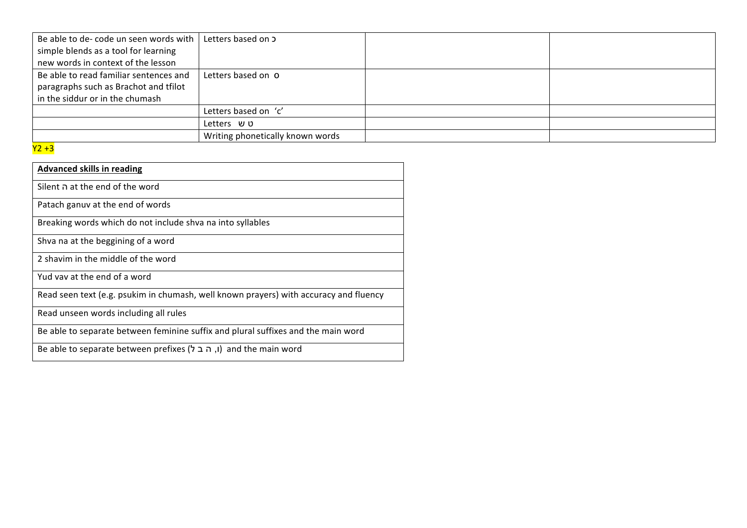| Be able to de- code un seen words with | Letters based on 5               |  |
|----------------------------------------|----------------------------------|--|
| simple blends as a tool for learning   |                                  |  |
| new words in context of the lesson     |                                  |  |
| Be able to read familiar sentences and | Letters based on O               |  |
| paragraphs such as Brachot and tfilot  |                                  |  |
| in the siddur or in the chumash        |                                  |  |
|                                        | Letters based on 'c'             |  |
|                                        | Letters ບບ                       |  |
|                                        | Writing phonetically known words |  |

## $\overline{Y2+3}$

| <b>Advanced skills in reading</b>                                                     |
|---------------------------------------------------------------------------------------|
| he end of the word Silent ה                                                           |
| Patach ganuv at the end of words                                                      |
| Breaking words which do not include shva na into syllables                            |
| Shva na at the beggining of a word                                                    |
| 2 shavim in the middle of the word                                                    |
| Yud vay at the end of a word                                                          |
| Read seen text (e.g. psukim in chumash, well known prayers) with accuracy and fluency |
| Read unseen words including all rules                                                 |
| Be able to separate between feminine suffix and plural suffixes and the main word     |
| Be able to separate between prefixes (ו, ה ב ל) and the main word                     |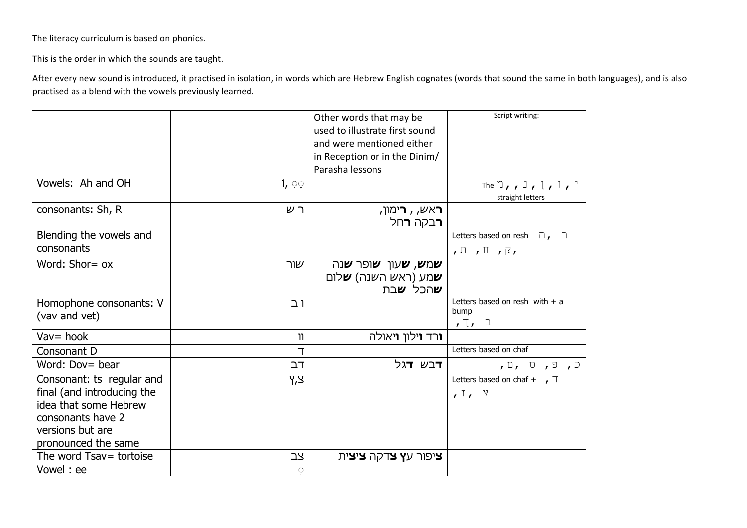The literacy curriculum is based on phonics.

This is the order in which the sounds are taught.

After every new sound is introduced, it practised in isolation, in words which are Hebrew English cognates (words that sound the same in both languages), and is also practised as a blend with the vowels previously learned.

|                                                                                                                                                  |                   | Other words that may be<br>used to illustrate first sound<br>and were mentioned either<br>in Reception or in the Dinim/<br>Parasha lessons | Script writing:                                                                   |
|--------------------------------------------------------------------------------------------------------------------------------------------------|-------------------|--------------------------------------------------------------------------------------------------------------------------------------------|-----------------------------------------------------------------------------------|
| Vowels: Ah and OH                                                                                                                                | $1, \circledcirc$ |                                                                                                                                            | The $\bigcap$ , $\bigcup$ , $\bigcup$ , $\bigcap$ , $\bigcap$<br>straight letters |
| consonants: Sh, R                                                                                                                                | ר ש               | <b>ר</b> אש, , <b>ר</b> ימון,<br><u>רבק</u> ה <b>ר</b> חל                                                                                  |                                                                                   |
| Blending the vowels and                                                                                                                          |                   |                                                                                                                                            | Letters based on resh $\overline{\phantom{a}}$ , $\overline{\phantom{a}}$         |
| consonants                                                                                                                                       |                   |                                                                                                                                            | $,\Box$ , $\Box$ , $\Box$ ,                                                       |
| Word: Shor= ox                                                                                                                                   | שור               | <b>שמש, ש</b> עון <b>ש</b> ופר <b>ש</b> נה<br><b>ש</b> מע (ראש השנה) <b>ש</b> לום<br><b>ש</b> הכל <b>ש</b> בת                              |                                                                                   |
| Homophone consonants: V<br>(vav and vet)                                                                                                         | ו ב               |                                                                                                                                            | Letters based on resh with $+$ a<br>bump<br>, 7, 1                                |
| $Vav = hook$                                                                                                                                     | $\mathbf{u}$      | <b>ו</b> רד <b>ו</b> ילון <b>ו</b> יאולה                                                                                                   |                                                                                   |
| Consonant D                                                                                                                                      | T.                |                                                                                                                                            | Letters based on chaf                                                             |
| Word: Dov= bear                                                                                                                                  | דב                | דבש <b>ד</b> גל                                                                                                                            | $\sqrt{a}$ , $\sqrt{a}$ , $\sqrt{a}$                                              |
| Consonant: ts regular and<br>final (and introducing the<br>idea that some Hebrew<br>consonants have 2<br>versions but are<br>pronounced the same | צ,ץ               |                                                                                                                                            | Letters based on chaf + $\sqrt{ }$<br>, 7, 9                                      |
| The word Tsav= tortoise                                                                                                                          | צב                | <b>ציפור עץ צ</b> דקה <b>ציצי</b> ת                                                                                                        |                                                                                   |
| Vowel: ee                                                                                                                                        | $\circ$           |                                                                                                                                            |                                                                                   |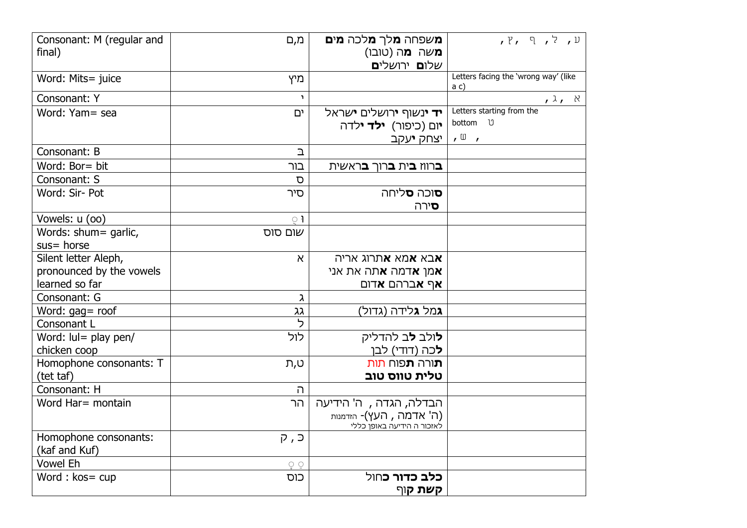| Consonant: M (regular and<br>final)    | מ,ם          | <b>מ</b> שפחה <b>מ</b> לך <b>מ</b> לכה <b>מים</b><br><b>מ</b> שה <b>מ</b> ה (טובו)<br>שלו <b>ם</b> ירושלי <b>ם</b> | $J, Y, P, T$ ל, ר                            |
|----------------------------------------|--------------|--------------------------------------------------------------------------------------------------------------------|----------------------------------------------|
| Word: Mits= juice                      | מיץ          |                                                                                                                    | Letters facing the 'wrong way' (like<br>a c) |
| Consonant: Y                           | $\mathbf{L}$ |                                                                                                                    | $,$ ג $,$                                    |
| Word: Yam= sea                         | ים           | <b>יד י</b> נשוף <b>י</b> רושלים <b>י</b> שראל                                                                     | Letters starting from the                    |
|                                        |              | <b>י</b> ום (כיפור) <b>ילד י</b> לדה                                                                               | bottom U                                     |
|                                        |              | יצחק <b>י</b> עקב                                                                                                  | $\sqrt{u}$                                   |
| Consonant: B                           | $\mathbf{D}$ |                                                                                                                    |                                              |
| Word: Bor= bit                         | בור          | <b>ב</b> רווז <b>ב</b> ית <b>ב</b> רוך <b>ב</b> ראשית                                                              |                                              |
| Consonant: S                           | D            |                                                                                                                    |                                              |
| Word: Sir- Pot                         | סיר          | <b>ס</b> וכה <b>ס</b> ליחה                                                                                         |                                              |
|                                        |              | <b>ס</b> ירה                                                                                                       |                                              |
| Vowels: u (00)                         | $\circ$ 1    |                                                                                                                    |                                              |
| Words: shum= garlic,                   | שום סוס      |                                                                                                                    |                                              |
| $sus = horse$                          |              |                                                                                                                    |                                              |
| Silent letter Aleph,                   | $\aleph$     | <b>א</b> בא <b>א</b> מא <b>א</b> תרוג אריה                                                                         |                                              |
| pronounced by the vowels               |              | <b>א</b> מן <b>א</b> דמה <b>א</b> תה את אני                                                                        |                                              |
| learned so far                         |              | <b>אף א</b> ברהם <b>א</b> דום                                                                                      |                                              |
| Consonant: G                           | λ<br>גג      | <b>ג</b> מל <b>ג</b> לידה (גדול)                                                                                   |                                              |
| Word: gag= roof<br>Consonant L         | っ            |                                                                                                                    |                                              |
| Word: lul= play pen/                   | לול          | <b>ל</b> ולב <b>ל</b> ב להדליק                                                                                     |                                              |
| chicken coop                           |              | <b>ל</b> כה (דודי) לבן                                                                                             |                                              |
| Homophone consonants: T                | ט,ת          | <b>ת</b> ורה <b>ת</b> פוח תות                                                                                      |                                              |
| (tet taf)                              |              | טלית טווס טוב                                                                                                      |                                              |
| Consonant: H                           | ה            |                                                                                                                    |                                              |
| Word Har= montain                      | הר           | הבדלה, הגדה , ה' הידיעה                                                                                            |                                              |
|                                        |              | (ה' אדמה, העץ)- הזדמנות<br>לאזכור ה הידיעה באופן כללי                                                              |                                              |
| Homophone consonants:<br>(kaf and Kuf) | כּ, ק        |                                                                                                                    |                                              |
| <b>Vowel Eh</b>                        | ਼            |                                                                                                                    |                                              |
| Word: kos= cup                         | כוס          | <b>כלב כדור כ</b> חול                                                                                              |                                              |
|                                        |              | <b>קשת ק</b> וף                                                                                                    |                                              |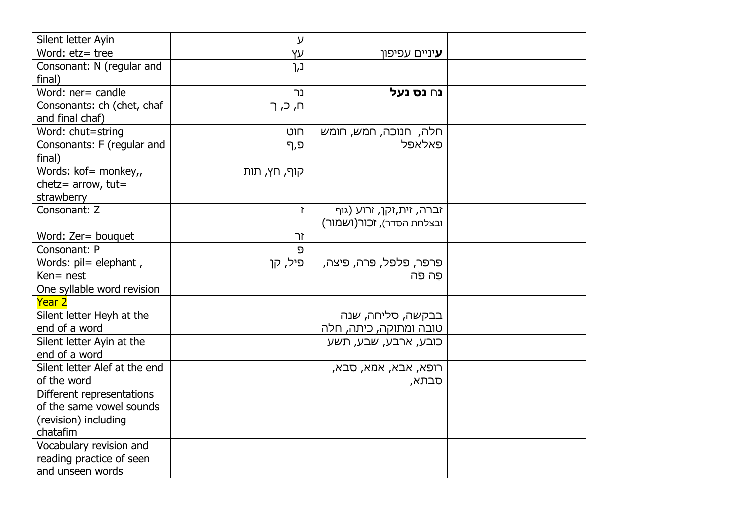| Silent letter Ayin            | ע            |                           |  |
|-------------------------------|--------------|---------------------------|--|
| Word: etz= tree               | YV           | <b>ע</b> יניים עפיפון     |  |
| Consonant: N (regular and     | נ,ך          |                           |  |
| final)                        |              |                           |  |
| Word: ner= candle             | נר           | נ∩ נס נעל                 |  |
| Consonants: ch (chet, chaf    | ח, כ, ך      |                           |  |
| and final chaf)               |              |                           |  |
| Word: chut=string             | חוט          | חלה, חנוכה, חמש, חומש     |  |
| Consonants: F (regular and    | פ,ף          | פאלאפל                    |  |
| final)                        |              |                           |  |
| Words: kof= monkey,,          | קוף, חץ, תות |                           |  |
| chetz= $arrow,$ tut=          |              |                           |  |
| strawberry                    |              |                           |  |
| Consonant: Z                  | $\mathbf{r}$ | זברה, זית,זקן, זרוע (גוף  |  |
|                               |              | ובצלחת הסדר), זכור(ושמור) |  |
| Word: Zer= bouquet            | זך           |                           |  |
| Consonant: P                  | פ            |                           |  |
| Words: pil= elephant,         | פיל, קן      | פרפר, פלפל, פרה, פיצה,    |  |
| Ken= nest                     |              | פֵה פֹּה                  |  |
| One syllable word revision    |              |                           |  |
| Year 2                        |              |                           |  |
| Silent letter Heyh at the     |              | בבקשה, סליחה, שנה         |  |
| end of a word                 |              | טובה ומתוקה, כיתה, חלה    |  |
| Silent letter Ayin at the     |              | כובע, ארבע, שבע, תשע      |  |
| end of a word                 |              |                           |  |
| Silent letter Alef at the end |              | רופא, אבא, אמא, סבא,      |  |
| of the word                   |              | סבתא,                     |  |
| Different representations     |              |                           |  |
| of the same vowel sounds      |              |                           |  |
| (revision) including          |              |                           |  |
| chatafim                      |              |                           |  |
| Vocabulary revision and       |              |                           |  |
| reading practice of seen      |              |                           |  |
| and unseen words              |              |                           |  |